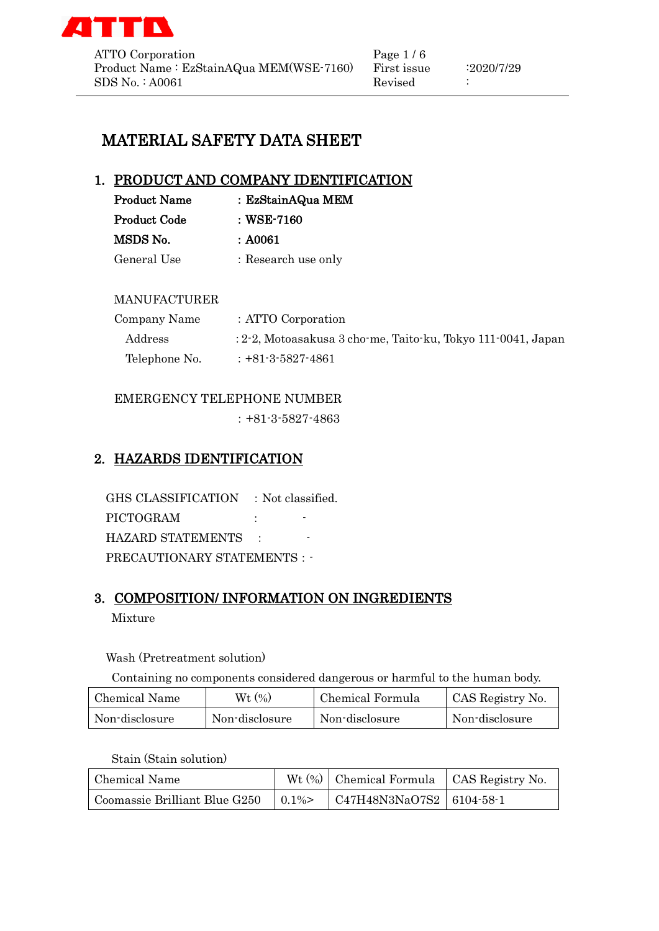

ATTO Corporation Page 1/6 Product Name : EzStainAQua MEM(WSE-7160) First issue : 2020/7/29 SDS No. : A0061 Revised :

# MATERIAL SAFETY DATA SHEET

## 1. PRODUCT AND COMPANY IDENTIFICATION

| <b>Product Name</b> | : EzStainAQua MEM   |
|---------------------|---------------------|
| <b>Product Code</b> | : WSE-7160          |
| MSDS No.            | : A0061             |
| General Use         | : Research use only |

#### MANUFACTURER

| Company Name  | : ATTO Corporation                                              |
|---------------|-----------------------------------------------------------------|
| Address       | $: 2-2$ , Motoasakusa 3 cho-me, Taito-ku, Tokyo 111-0041, Japan |
| Telephone No. | $: +81-3-5827-4861$                                             |

## EMERGENCY TELEPHONE NUMBER

:+81-3-5827-4863

# 2. HAZARDS IDENTIFICATION

GHS CLASSIFICATION : Not classified. PICTOGRAM :  $\qquad \qquad$ HAZARD STATEMENTS : PRECAUTIONARY STATEMENTS : -

# 3. COMPOSITION/ INFORMATION ON INGREDIENTS

Mixture

#### Wash (Pretreatment solution)

Containing no components considered dangerous or harmful to the human body.

| Chemical Name  | Wt(%)          | Chemical Formula | CAS Registry No. |
|----------------|----------------|------------------|------------------|
| Non-disclosure | Non-disclosure | Non-disclosure   | Non-disclosure   |

#### Stain (Stain solution)

| Chemical Name                               | Wt $(\%)$ Chemical Formula   CAS Registry No. |  |
|---------------------------------------------|-----------------------------------------------|--|
| Coomassie Brilliant Blue G250 $\vert$ 0.1%> | $\vert$ C47H48N3NaO7S2 $\vert$ 6104-58-1      |  |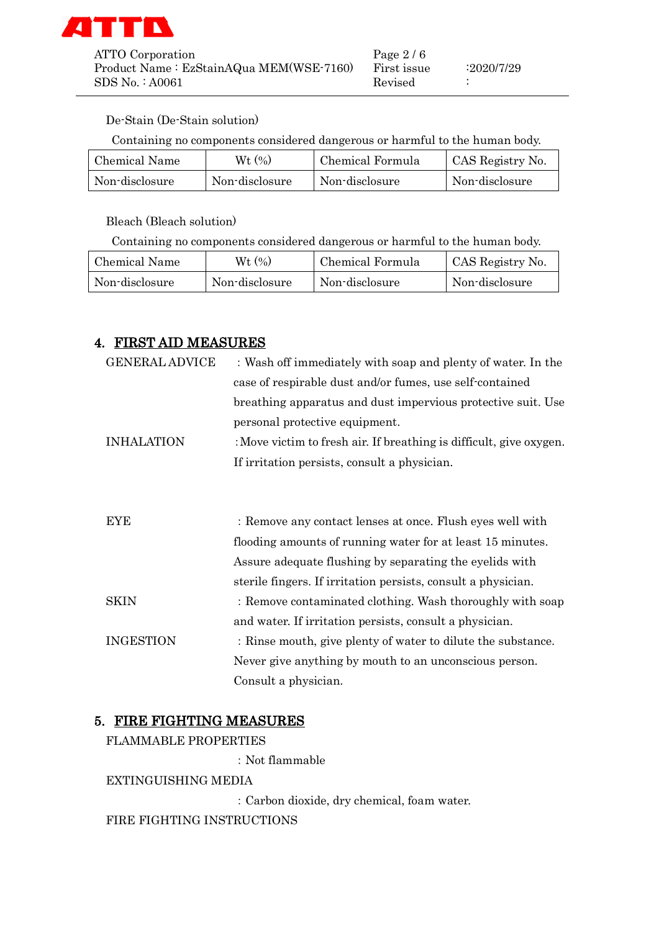

ATTO Corporation Page 2/6 Product Name : EzStainAQua MEM(WSE-7160) First issue : 2020/7/29 SDS No. : A0061 Revised :

#### De-Stain (De-Stain solution)

Containing no components considered dangerous or harmful to the human body.

| Chemical Name  | Wt (%)         | Chemical Formula | CAS Registry No. |
|----------------|----------------|------------------|------------------|
| Non-disclosure | Non-disclosure | Non-disclosure   | Non-disclosure   |

Bleach (Bleach solution)

Containing no components considered dangerous or harmful to the human body.

| Chemical Name  | Wt (%)         | Chemical Formula | CAS Registry No. |
|----------------|----------------|------------------|------------------|
| Non-disclosure | Non-disclosure | Non-disclosure   | Non-disclosure   |

## 4. FIRST AID MEASURES

| <b>GENERAL ADVICE</b> | : Wash off immediately with soap and plenty of water. In the        |
|-----------------------|---------------------------------------------------------------------|
|                       | case of respirable dust and/or fumes, use self-contained            |
|                       | breathing apparatus and dust impervious protective suit. Use        |
|                       | personal protective equipment.                                      |
| <b>INHALATION</b>     | : Move victim to fresh air. If breathing is difficult, give oxygen. |
|                       | If irritation persists, consult a physician.                        |
|                       |                                                                     |
|                       |                                                                     |
| <b>EYE</b>            | : Remove any contact lenses at once. Flush eyes well with           |
|                       | flooding amounts of running water for at least 15 minutes.          |
|                       | Assure adequate flushing by separating the eyelids with             |
|                       | sterile fingers. If irritation persists, consult a physician.       |
| SKIN                  | : Remove contaminated clothing. Wash thoroughly with soap           |
|                       | and water. If irritation persists, consult a physician.             |
| <b>INGESTION</b>      | : Rinse mouth, give plenty of water to dilute the substance.        |
|                       | Never give anything by mouth to an unconscious person.              |
|                       | Consult a physician.                                                |

#### 5. FIRE FIGHTING MEASURES

FLAMMABLE PROPERTIES

:Not flammable

EXTINGUISHING MEDIA

:Carbon dioxide, dry chemical, foam water.

FIRE FIGHTING INSTRUCTIONS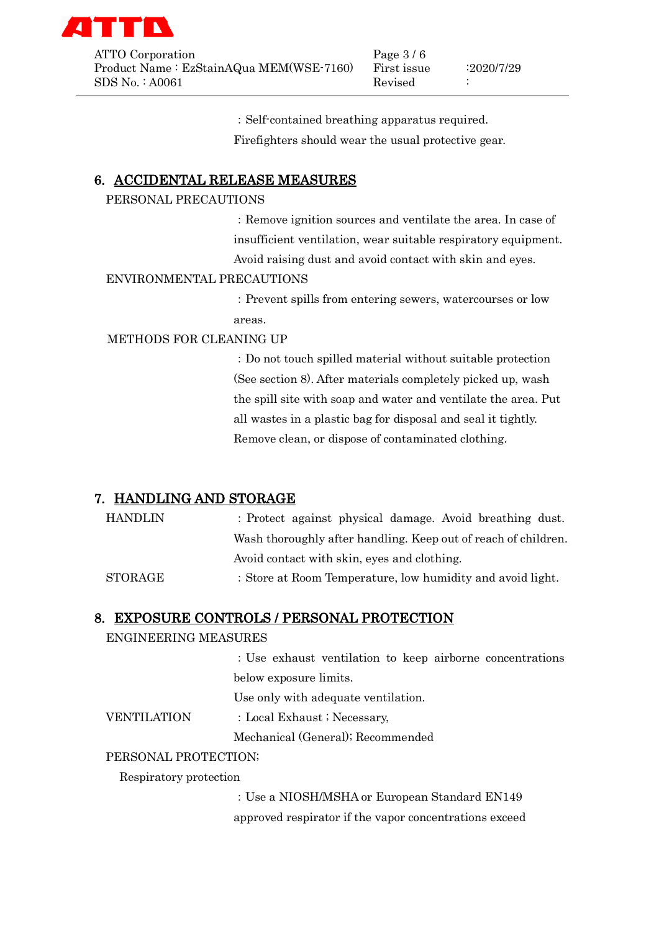

ATTO Corporation Page 3/6 Product Name : EzStainAQua MEM(WSE-7160) First issue :2020/7/29 SDS No. : A0061 Revised :

:Self-contained breathing apparatus required.

Firefighters should wear the usual protective gear.

# 6. ACCIDENTAL RELEASE MEASURES

#### PERSONAL PRECAUTIONS

:Remove ignition sources and ventilate the area. In case of insufficient ventilation, wear suitable respiratory equipment. Avoid raising dust and avoid contact with skin and eyes.

#### ENVIRONMENTAL PRECAUTIONS

:Prevent spills from entering sewers, watercourses or low areas.

#### METHODS FOR CLEANING UP

:Do not touch spilled material without suitable protection (See section 8). After materials completely picked up, wash the spill site with soap and water and ventilate the area. Put all wastes in a plastic bag for disposal and seal it tightly. Remove clean, or dispose of contaminated clothing.

# 7. HANDLING AND STORAGE

HANDLIN : Protect against physical damage. Avoid breathing dust. Wash thoroughly after handling. Keep out of reach of children. Avoid contact with skin, eyes and clothing. STORAGE : Store at Room Temperature, low humidity and avoid light.

## 8. EXPOSURE CONTROLS / PERSONAL PROTECTION

## ENGINEERING MEASURES

:Use exhaust ventilation to keep airborne concentrations below exposure limits.

Use only with adequate ventilation.

VENTILATION : Local Exhaust ; Necessary,

Mechanical (General); Recommended

## PERSONAL PROTECTION;

Respiratory protection

:Use a NIOSH/MSHA or European Standard EN149 approved respirator if the vapor concentrations exceed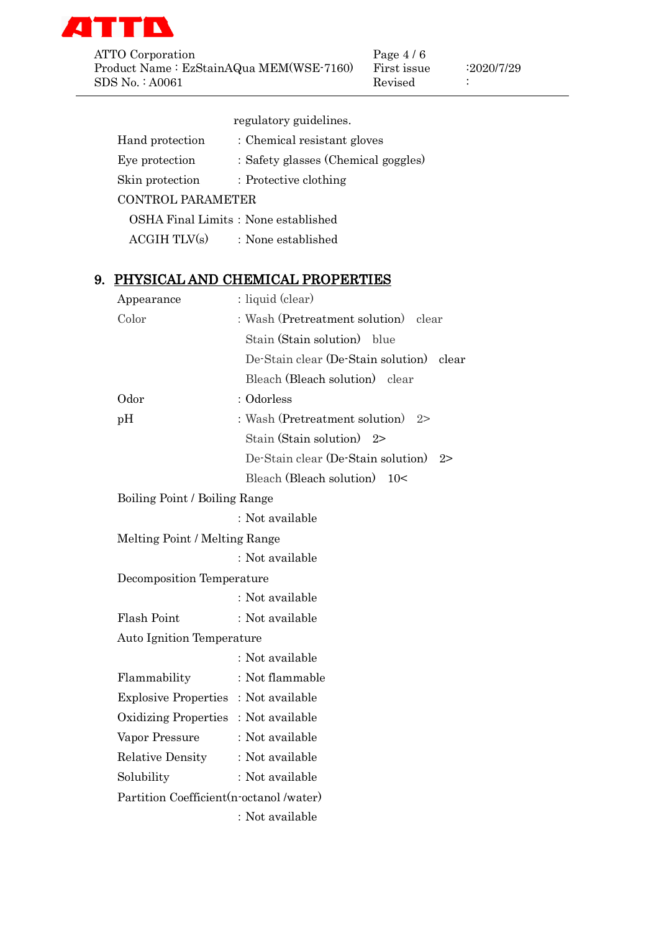

ATTO Corporation Page 4/6 Product Name : EzStainAQua MEM(WSE-7160) First issue : 2020/7/29 SDS No. : A0061 Revised :

|    |                                          | regulatory guidelines.                             |
|----|------------------------------------------|----------------------------------------------------|
|    | Hand protection                          | : Chemical resistant gloves                        |
|    |                                          | Eye protection : Safety glasses (Chemical goggles) |
|    | Skin protection : Protective clothing    |                                                    |
|    | <b>CONTROL PARAMETER</b>                 |                                                    |
|    |                                          | OSHA Final Limits: None established                |
|    |                                          | $\text{ACGIH}$ $\text{TLV}(s)$ : None established  |
| 9. |                                          | PHYSICAL AND CHEMICAL PROPERTIES                   |
|    | Appearance                               | : liquid (clear)                                   |
|    | Color                                    | : Wash (Pretreatment solution) clear               |
|    |                                          | Stain (Stain solution) blue                        |
|    |                                          | De-Stain clear (De-Stain solution) clear           |
|    |                                          | Bleach (Bleach solution) clear                     |
|    | Odor                                     | : Odorless                                         |
|    | pH                                       | : Wash (Pretreatment solution) $2>$                |
|    |                                          | Stain (Stain solution) $2>$                        |
|    |                                          | De-Stain clear (De-Stain solution) 2>              |
|    |                                          | Bleach (Bleach solution) 10<                       |
|    | Boiling Point / Boiling Range            |                                                    |
|    |                                          | : Not available                                    |
|    | Melting Point / Melting Range            |                                                    |
|    |                                          | : Not available                                    |
|    | Decomposition Temperature                |                                                    |
|    |                                          | : Not available                                    |
|    | Flash Point                              | : Not available                                    |
|    | <b>Auto Ignition Temperature</b>         |                                                    |
|    |                                          | : Not available                                    |
|    | Flammability                             | : Not flammable                                    |
|    | Explosive Properties: Not available      |                                                    |
|    | Oxidizing Properties: Not available      |                                                    |
|    | Vapor Pressure                           | : Not available                                    |
|    | Relative Density                         | : Not available                                    |
|    | Solubility                               | : Not available                                    |
|    | Partition Coefficient (n-octanol /water) |                                                    |
|    |                                          | : Not available                                    |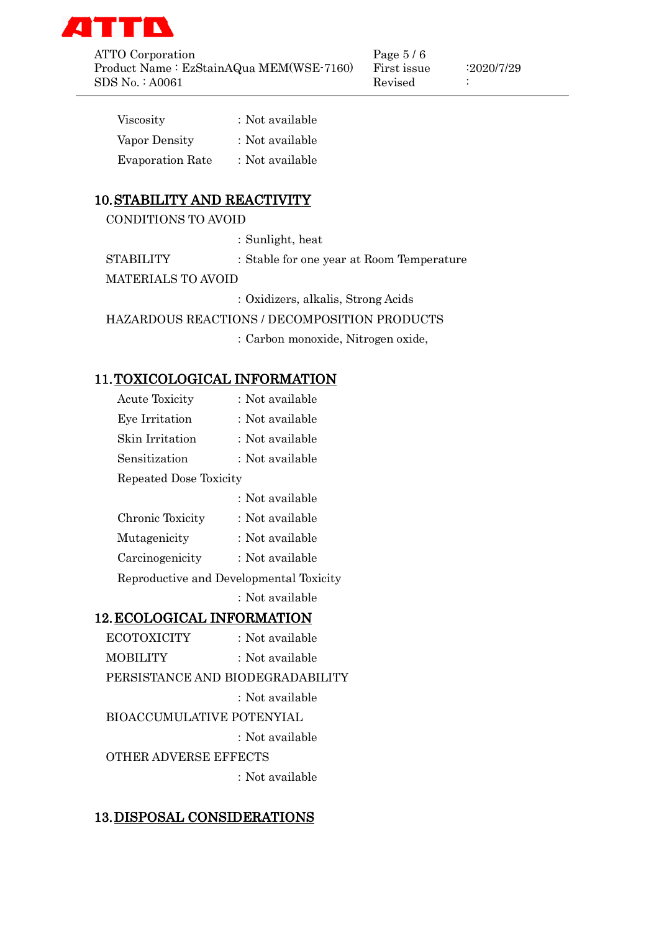

ATTO Corporation Page 5/6 Product Name : EzStainAQua MEM(WSE-7160) First issue :2020/7/29<br>SDS No. : A0061 First issue Revised : SDS No. : A0061 Revised :

| Viscosity               | : Not available |
|-------------------------|-----------------|
| Vapor Density           | : Not available |
| <b>Evaporation Rate</b> | : Not available |

# 10.STABILITY AND REACTIVITY

CONDITIONS TO AVOID

:Sunlight, heat

STABILITY : Stable for one year at Room Temperature

MATERIALS TO AVOID

:Oxidizers, alkalis, Strong Acids

HAZARDOUS REACTIONS / DECOMPOSITION PRODUCTS

:Carbon monoxide, Nitrogen oxide,

# 11.TOXICOLOGICAL INFORMATION

| <b>Acute Toxicity</b>             | : Not available                         |
|-----------------------------------|-----------------------------------------|
| Eye Irritation                    | : Not available                         |
| Skin Irritation                   | : Not available                         |
| Sensitization                     | : Not available                         |
| Repeated Dose Toxicity            |                                         |
|                                   | : Not available                         |
| Chronic Toxicity                  | : Not available                         |
| Mutagenicity                      | : Not available                         |
| Carcinogenicity                   | : Not available                         |
|                                   | Reproductive and Developmental Toxicity |
|                                   | : Not available                         |
| <b>12. ECOLOGICAL INFORMATION</b> |                                         |
| <b>ECOTOXICITY</b>                | : Not available                         |
| MOBILITY                          | : Not available                         |
|                                   |                                         |

PERSISTANCE AND BIODEGRADABILITY

:Not available

BIOACCUMULATIVE POTENYIAL

:Not available

OTHER ADVERSE EFFECTS

:Not available

# 13.DISPOSAL CONSIDERATIONS